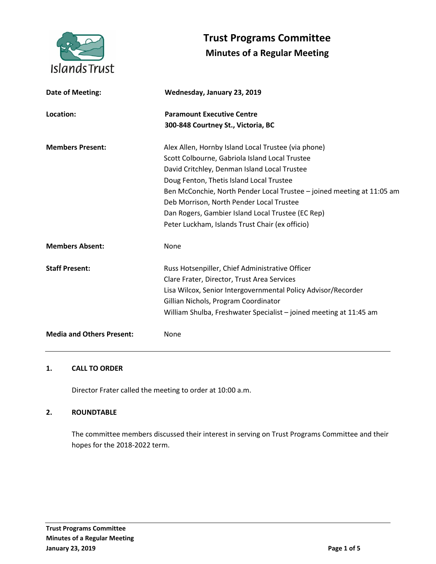

# **Trust Programs Committee Minutes of a Regular Meeting**

| Date of Meeting:                 | Wednesday, January 23, 2019                                            |
|----------------------------------|------------------------------------------------------------------------|
| Location:                        | <b>Paramount Executive Centre</b>                                      |
|                                  | 300-848 Courtney St., Victoria, BC                                     |
| <b>Members Present:</b>          | Alex Allen, Hornby Island Local Trustee (via phone)                    |
|                                  | Scott Colbourne, Gabriola Island Local Trustee                         |
|                                  | David Critchley, Denman Island Local Trustee                           |
|                                  | Doug Fenton, Thetis Island Local Trustee                               |
|                                  | Ben McConchie, North Pender Local Trustee - joined meeting at 11:05 am |
|                                  | Deb Morrison, North Pender Local Trustee                               |
|                                  | Dan Rogers, Gambier Island Local Trustee (EC Rep)                      |
|                                  | Peter Luckham, Islands Trust Chair (ex officio)                        |
| <b>Members Absent:</b>           | None                                                                   |
| <b>Staff Present:</b>            | Russ Hotsenpiller, Chief Administrative Officer                        |
|                                  | Clare Frater, Director, Trust Area Services                            |
|                                  | Lisa Wilcox, Senior Intergovernmental Policy Advisor/Recorder          |
|                                  | Gillian Nichols, Program Coordinator                                   |
|                                  | William Shulba, Freshwater Specialist - joined meeting at 11:45 am     |
| <b>Media and Others Present:</b> | None                                                                   |
|                                  |                                                                        |

# **1. CALL TO ORDER**

Director Frater called the meeting to order at 10:00 a.m.

#### **2. ROUNDTABLE**

The committee members discussed their interest in serving on Trust Programs Committee and their hopes for the 2018-2022 term.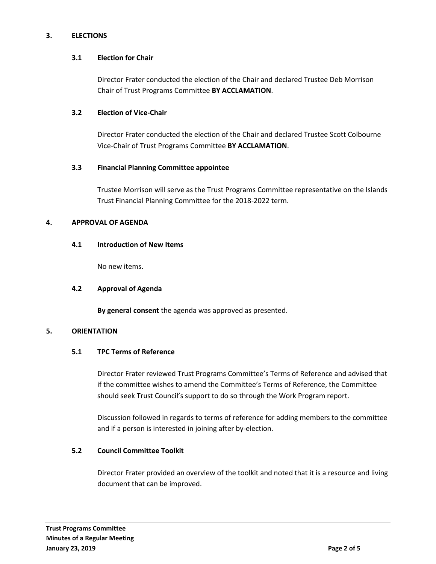# **3. ELECTIONS**

## **3.1 Election for Chair**

Director Frater conducted the election of the Chair and declared Trustee Deb Morrison Chair of Trust Programs Committee **BY ACCLAMATION**.

## **3.2 Election of Vice-Chair**

Director Frater conducted the election of the Chair and declared Trustee Scott Colbourne Vice-Chair of Trust Programs Committee **BY ACCLAMATION**.

## **3.3 Financial Planning Committee appointee**

Trustee Morrison will serve as the Trust Programs Committee representative on the Islands Trust Financial Planning Committee for the 2018-2022 term.

## **4. APPROVAL OF AGENDA**

## **4.1 Introduction of New Items**

No new items.

#### **4.2 Approval of Agenda**

**By general consent** the agenda was approved as presented.

#### **5. ORIENTATION**

#### **5.1 TPC Terms of Reference**

Director Frater reviewed Trust Programs Committee's Terms of Reference and advised that if the committee wishes to amend the Committee's Terms of Reference, the Committee should seek Trust Council's support to do so through the Work Program report.

Discussion followed in regards to terms of reference for adding members to the committee and if a person is interested in joining after by-election.

# **5.2 Council Committee Toolkit**

Director Frater provided an overview of the toolkit and noted that it is a resource and living document that can be improved.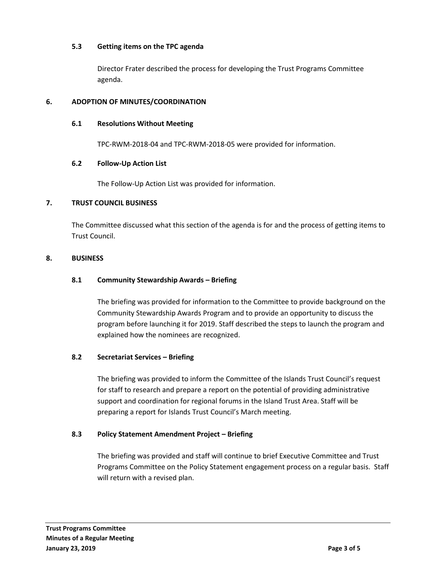## **5.3 Getting items on the TPC agenda**

Director Frater described the process for developing the Trust Programs Committee agenda.

# **6. ADOPTION OF MINUTES/COORDINATION**

## **6.1 Resolutions Without Meeting**

TPC-RWM-2018-04 and TPC-RWM-2018-05 were provided for information.

## **6.2 Follow-Up Action List**

The Follow-Up Action List was provided for information.

## **7. TRUST COUNCIL BUSINESS**

The Committee discussed what this section of the agenda is for and the process of getting items to Trust Council.

## **8. BUSINESS**

## **8.1 Community Stewardship Awards – Briefing**

The briefing was provided for information to the Committee to provide background on the Community Stewardship Awards Program and to provide an opportunity to discuss the program before launching it for 2019. Staff described the steps to launch the program and explained how the nominees are recognized.

#### **8.2 Secretariat Services – Briefing**

The briefing was provided to inform the Committee of the Islands Trust Council's request for staff to research and prepare a report on the potential of providing administrative support and coordination for regional forums in the Island Trust Area. Staff will be preparing a report for Islands Trust Council's March meeting.

#### **8.3 Policy Statement Amendment Project – Briefing**

The briefing was provided and staff will continue to brief Executive Committee and Trust Programs Committee on the Policy Statement engagement process on a regular basis. Staff will return with a revised plan.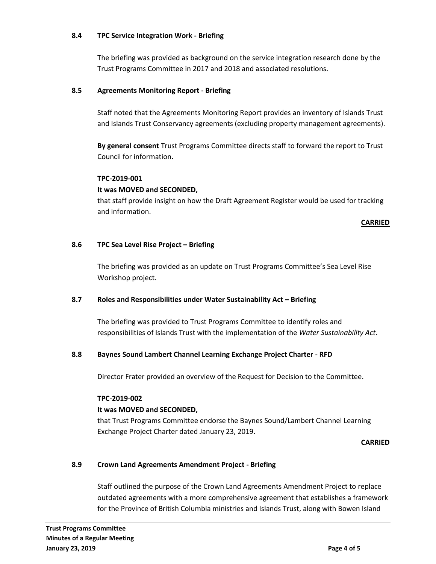### **8.4 TPC Service Integration Work - Briefing**

The briefing was provided as background on the service integration research done by the Trust Programs Committee in 2017 and 2018 and associated resolutions.

## **8.5 Agreements Monitoring Report - Briefing**

Staff noted that the Agreements Monitoring Report provides an inventory of Islands Trust and Islands Trust Conservancy agreements (excluding property management agreements).

**By general consent** Trust Programs Committee directs staff to forward the report to Trust Council for information.

#### **TPC-2019-001**

#### **It was MOVED and SECONDED,**

that staff provide insight on how the Draft Agreement Register would be used for tracking and information.

#### **CARRIED**

#### **8.6 TPC Sea Level Rise Project – Briefing**

The briefing was provided as an update on Trust Programs Committee's Sea Level Rise Workshop project.

#### **8.7 Roles and Responsibilities under Water Sustainability Act – Briefing**

The briefing was provided to Trust Programs Committee to identify roles and responsibilities of Islands Trust with the implementation of the *Water Sustainability Act*.

#### **8.8 Baynes Sound Lambert Channel Learning Exchange Project Charter - RFD**

Director Frater provided an overview of the Request for Decision to the Committee.

#### **TPC-2019-002**

#### **It was MOVED and SECONDED,**

that Trust Programs Committee endorse the Baynes Sound/Lambert Channel Learning Exchange Project Charter dated January 23, 2019.

#### **CARRIED**

#### **8.9 Crown Land Agreements Amendment Project - Briefing**

Staff outlined the purpose of the Crown Land Agreements Amendment Project to replace outdated agreements with a more comprehensive agreement that establishes a framework for the Province of British Columbia ministries and Islands Trust, along with Bowen Island